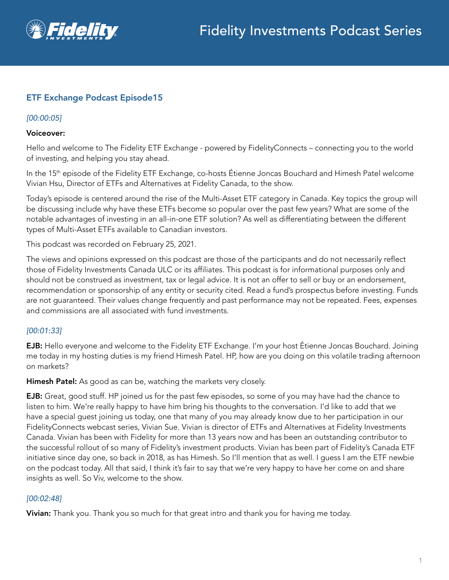

# ETF Exchange Podcast Episode15

#### *[00:00:05]*

#### Voiceover:

Hello and welcome to The Fidelity ETF Exchange - powered by FidelityConnects – connecting you to the world of investing, and helping you stay ahead.

In the 15<sup>th</sup> episode of the Fidelity ETF Exchange, co-hosts Étienne Joncas Bouchard and Himesh Patel welcome Vivian Hsu, Director of ETFs and Alternatives at Fidelity Canada, to the show.

Today's episode is centered around the rise of the Multi-Asset ETF category in Canada. Key topics the group will be discussing include why have these ETFs become so popular over the past few years? What are some of the notable advantages of investing in an all-in-one ETF solution? As well as differentiating between the different types of Multi-Asset ETFs available to Canadian investors.

This podcast was recorded on February 25, 2021.

The views and opinions expressed on this podcast are those of the participants and do not necessarily reflect those of Fidelity Investments Canada ULC or its affiliates. This podcast is for informational purposes only and should not be construed as investment, tax or legal advice. It is not an offer to sell or buy or an endorsement, recommendation or sponsorship of any entity or security cited. Read a fund's prospectus before investing. Funds are not guaranteed. Their values change frequently and past performance may not be repeated. Fees, expenses and commissions are all associated with fund investments.

## *[00:01:33]*

EJB: Hello everyone and welcome to the Fidelity ETF Exchange. I'm your host Étienne Joncas Bouchard. Joining me today in my hosting duties is my friend Himesh Patel. HP, how are you doing on this volatile trading afternoon on markets?

Himesh Patel: As good as can be, watching the markets very closely.

**EJB:** Great, good stuff. HP joined us for the past few episodes, so some of you may have had the chance to listen to him. We're really happy to have him bring his thoughts to the conversation. I'd like to add that we have a special guest joining us today, one that many of you may already know due to her participation in our FidelityConnects webcast series, Vivian Sue. Vivian is director of ETFs and Alternatives at Fidelity Investments Canada. Vivian has been with Fidelity for more than 13 years now and has been an outstanding contributor to the successful rollout of so many of Fidelity's investment products. Vivian has been part of Fidelity's Canada ETF initiative since day one, so back in 2018, as has Himesh. So I'll mention that as well. I guess I am the ETF newbie on the podcast today. All that said, I think it's fair to say that we're very happy to have her come on and share insights as well. So Viv, welcome to the show.

#### *[00:02:48]*

**Vivian:** Thank you. Thank you so much for that great intro and thank you for having me today.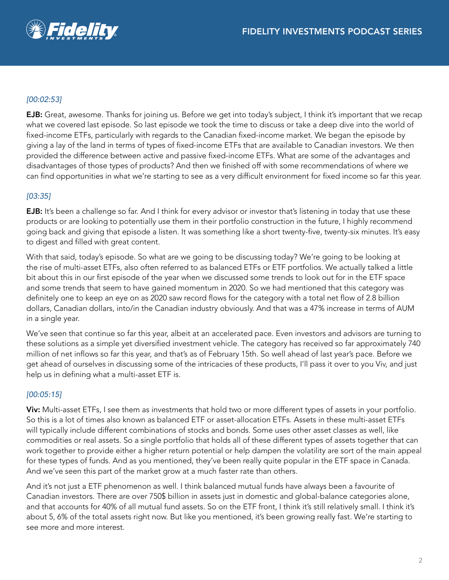

## *[00:02:53]*

EJB: Great, awesome. Thanks for joining us. Before we get into today's subject, I think it's important that we recap what we covered last episode. So last episode we took the time to discuss or take a deep dive into the world of fixed-income ETFs, particularly with regards to the Canadian fixed-income market. We began the episode by giving a lay of the land in terms of types of fixed-income ETFs that are available to Canadian investors. We then provided the difference between active and passive fixed-income ETFs. What are some of the advantages and disadvantages of those types of products? And then we finished off with some recommendations of where we can find opportunities in what we're starting to see as a very difficult environment for fixed income so far this year.

#### *[03:35]*

**EJB:** It's been a challenge so far. And I think for every advisor or investor that's listening in today that use these products or are looking to potentially use them in their portfolio construction in the future, I highly recommend going back and giving that episode a listen. It was something like a short twenty-five, twenty-six minutes. It's easy to digest and filled with great content.

With that said, today's episode. So what are we going to be discussing today? We're going to be looking at the rise of multi-asset ETFs, also often referred to as balanced ETFs or ETF portfolios. We actually talked a little bit about this in our first episode of the year when we discussed some trends to look out for in the ETF space and some trends that seem to have gained momentum in 2020. So we had mentioned that this category was definitely one to keep an eye on as 2020 saw record flows for the category with a total net flow of 2.8 billion dollars, Canadian dollars, into/in the Canadian industry obviously. And that was a 47% increase in terms of AUM in a single year.

We've seen that continue so far this year, albeit at an accelerated pace. Even investors and advisors are turning to these solutions as a simple yet diversified investment vehicle. The category has received so far approximately 740 million of net inflows so far this year, and that's as of February 15th. So well ahead of last year's pace. Before we get ahead of ourselves in discussing some of the intricacies of these products, I'll pass it over to you Viv, and just help us in defining what a multi-asset ETF is.

#### *[00:05:15]*

Viv: Multi-asset ETFs, I see them as investments that hold two or more different types of assets in your portfolio. So this is a lot of times also known as balanced ETF or asset-allocation ETFs. Assets in these multi-asset ETFs will typically include different combinations of stocks and bonds. Some uses other asset classes as well, like commodities or real assets. So a single portfolio that holds all of these different types of assets together that can work together to provide either a higher return potential or help dampen the volatility are sort of the main appeal for these types of funds. And as you mentioned, they've been really quite popular in the ETF space in Canada. And we've seen this part of the market grow at a much faster rate than others.

And it's not just a ETF phenomenon as well. I think balanced mutual funds have always been a favourite of Canadian investors. There are over 750\$ billion in assets just in domestic and global-balance categories alone, and that accounts for 40% of all mutual fund assets. So on the ETF front, I think it's still relatively small. I think it's about 5, 6% of the total assets right now. But like you mentioned, it's been growing really fast. We're starting to see more and more interest.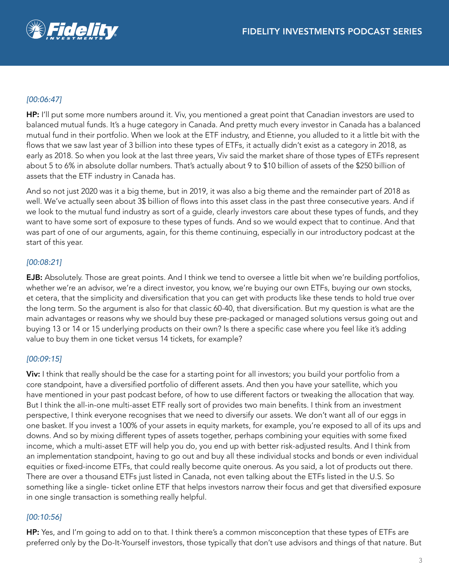

# *[00:06:47]*

HP: I'll put some more numbers around it. Viv, you mentioned a great point that Canadian investors are used to balanced mutual funds. It's a huge category in Canada. And pretty much every investor in Canada has a balanced mutual fund in their portfolio. When we look at the ETF industry, and Etienne, you alluded to it a little bit with the flows that we saw last year of 3 billion into these types of ETFs, it actually didn't exist as a category in 2018, as early as 2018. So when you look at the last three years, Viv said the market share of those types of ETFs represent about 5 to 6% in absolute dollar numbers. That's actually about 9 to \$10 billion of assets of the \$250 billion of assets that the ETF industry in Canada has.

And so not just 2020 was it a big theme, but in 2019, it was also a big theme and the remainder part of 2018 as well. We've actually seen about 3\$ billion of flows into this asset class in the past three consecutive years. And if we look to the mutual fund industry as sort of a guide, clearly investors care about these types of funds, and they want to have some sort of exposure to these types of funds. And so we would expect that to continue. And that was part of one of our arguments, again, for this theme continuing, especially in our introductory podcast at the start of this year.

#### *[00:08:21]*

EJB: Absolutely. Those are great points. And I think we tend to oversee a little bit when we're building portfolios, whether we're an advisor, we're a direct investor, you know, we're buying our own ETFs, buying our own stocks, et cetera, that the simplicity and diversification that you can get with products like these tends to hold true over the long term. So the argument is also for that classic 60-40, that diversification. But my question is what are the main advantages or reasons why we should buy these pre-packaged or managed solutions versus going out and buying 13 or 14 or 15 underlying products on their own? Is there a specific case where you feel like it's adding value to buy them in one ticket versus 14 tickets, for example?

#### *[00:09:15]*

Viv: I think that really should be the case for a starting point for all investors; you build your portfolio from a core standpoint, have a diversified portfolio of different assets. And then you have your satellite, which you have mentioned in your past podcast before, of how to use different factors or tweaking the allocation that way. But I think the all-in-one multi-asset ETF really sort of provides two main benefits. I think from an investment perspective, I think everyone recognises that we need to diversify our assets. We don't want all of our eggs in one basket. If you invest a 100% of your assets in equity markets, for example, you're exposed to all of its ups and downs. And so by mixing different types of assets together, perhaps combining your equities with some fixed income, which a multi-asset ETF will help you do, you end up with better risk-adjusted results. And I think from an implementation standpoint, having to go out and buy all these individual stocks and bonds or even individual equities or fixed-income ETFs, that could really become quite onerous. As you said, a lot of products out there. There are over a thousand ETFs just listed in Canada, not even talking about the ETFs listed in the U.S. So something like a single- ticket online ETF that helps investors narrow their focus and get that diversified exposure in one single transaction is something really helpful.

## *[00:10:56]*

HP: Yes, and I'm going to add on to that. I think there's a common misconception that these types of ETFs are preferred only by the Do-It-Yourself investors, those typically that don't use advisors and things of that nature. But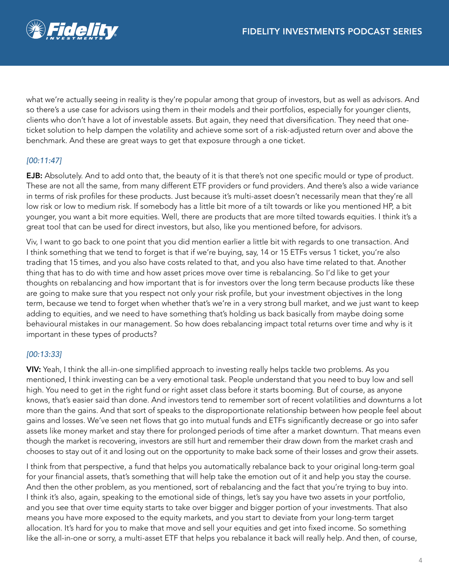

what we're actually seeing in reality is they're popular among that group of investors, but as well as advisors. And so there's a use case for advisors using them in their models and their portfolios, especially for younger clients, clients who don't have a lot of investable assets. But again, they need that diversification. They need that oneticket solution to help dampen the volatility and achieve some sort of a risk-adjusted return over and above the benchmark. And these are great ways to get that exposure through a one ticket.

# *[00:11:47]*

**EJB:** Absolutely. And to add onto that, the beauty of it is that there's not one specific mould or type of product. These are not all the same, from many different ETF providers or fund providers. And there's also a wide variance in terms of risk profiles for these products. Just because it's multi-asset doesn't necessarily mean that they're all low risk or low to medium risk. If somebody has a little bit more of a tilt towards or like you mentioned HP, a bit younger, you want a bit more equities. Well, there are products that are more tilted towards equities. I think it's a great tool that can be used for direct investors, but also, like you mentioned before, for advisors.

Viv, I want to go back to one point that you did mention earlier a little bit with regards to one transaction. And I think something that we tend to forget is that if we're buying, say, 14 or 15 ETFs versus 1 ticket, you're also trading that 15 times, and you also have costs related to that, and you also have time related to that. Another thing that has to do with time and how asset prices move over time is rebalancing. So I'd like to get your thoughts on rebalancing and how important that is for investors over the long term because products like these are going to make sure that you respect not only your risk profile, but your investment objectives in the long term, because we tend to forget when whether that's we're in a very strong bull market, and we just want to keep adding to equities, and we need to have something that's holding us back basically from maybe doing some behavioural mistakes in our management. So how does rebalancing impact total returns over time and why is it important in these types of products?

## *[00:13:33]*

VIV: Yeah, I think the all-in-one simplified approach to investing really helps tackle two problems. As you mentioned, I think investing can be a very emotional task. People understand that you need to buy low and sell high. You need to get in the right fund or right asset class before it starts booming. But of course, as anyone knows, that's easier said than done. And investors tend to remember sort of recent volatilities and downturns a lot more than the gains. And that sort of speaks to the disproportionate relationship between how people feel about gains and losses. We've seen net flows that go into mutual funds and ETFs significantly decrease or go into safer assets like money market and stay there for prolonged periods of time after a market downturn. That means even though the market is recovering, investors are still hurt and remember their draw down from the market crash and chooses to stay out of it and losing out on the opportunity to make back some of their losses and grow their assets.

I think from that perspective, a fund that helps you automatically rebalance back to your original long-term goal for your financial assets, that's something that will help take the emotion out of it and help you stay the course. And then the other problem, as you mentioned, sort of rebalancing and the fact that you're trying to buy into. I think it's also, again, speaking to the emotional side of things, let's say you have two assets in your portfolio, and you see that over time equity starts to take over bigger and bigger portion of your investments. That also means you have more exposed to the equity markets, and you start to deviate from your long-term target allocation. It's hard for you to make that move and sell your equities and get into fixed income. So something like the all-in-one or sorry, a multi-asset ETF that helps you rebalance it back will really help. And then, of course,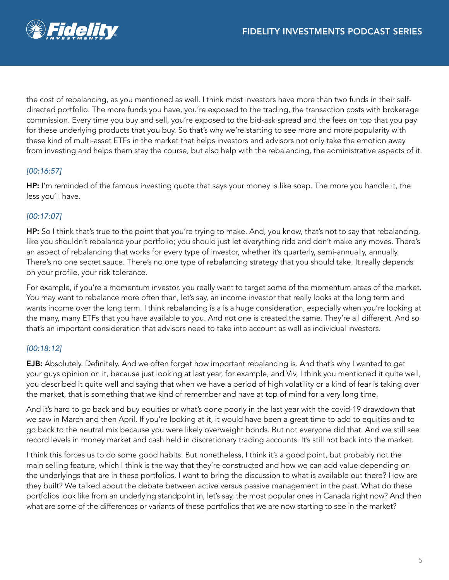

the cost of rebalancing, as you mentioned as well. I think most investors have more than two funds in their selfdirected portfolio. The more funds you have, you're exposed to the trading, the transaction costs with brokerage commission. Every time you buy and sell, you're exposed to the bid-ask spread and the fees on top that you pay for these underlying products that you buy. So that's why we're starting to see more and more popularity with these kind of multi-asset ETFs in the market that helps investors and advisors not only take the emotion away from investing and helps them stay the course, but also help with the rebalancing, the administrative aspects of it.

## *[00:16:57]*

HP: I'm reminded of the famous investing quote that says your money is like soap. The more you handle it, the less you'll have.

## *[00:17:07]*

HP: So I think that's true to the point that you're trying to make. And, you know, that's not to say that rebalancing, like you shouldn't rebalance your portfolio; you should just let everything ride and don't make any moves. There's an aspect of rebalancing that works for every type of investor, whether it's quarterly, semi-annually, annually. There's no one secret sauce. There's no one type of rebalancing strategy that you should take. It really depends on your profile, your risk tolerance.

For example, if you're a momentum investor, you really want to target some of the momentum areas of the market. You may want to rebalance more often than, let's say, an income investor that really looks at the long term and wants income over the long term. I think rebalancing is a is a huge consideration, especially when you're looking at the many, many ETFs that you have available to you. And not one is created the same. They're all different. And so that's an important consideration that advisors need to take into account as well as individual investors.

## *[00:18:12]*

EJB: Absolutely. Definitely. And we often forget how important rebalancing is. And that's why I wanted to get your guys opinion on it, because just looking at last year, for example, and Viv, I think you mentioned it quite well, you described it quite well and saying that when we have a period of high volatility or a kind of fear is taking over the market, that is something that we kind of remember and have at top of mind for a very long time.

And it's hard to go back and buy equities or what's done poorly in the last year with the covid-19 drawdown that we saw in March and then April. If you're looking at it, it would have been a great time to add to equities and to go back to the neutral mix because you were likely overweight bonds. But not everyone did that. And we still see record levels in money market and cash held in discretionary trading accounts. It's still not back into the market.

I think this forces us to do some good habits. But nonetheless, I think it's a good point, but probably not the main selling feature, which I think is the way that they're constructed and how we can add value depending on the underlyings that are in these portfolios. I want to bring the discussion to what is available out there? How are they built? We talked about the debate between active versus passive management in the past. What do these portfolios look like from an underlying standpoint in, let's say, the most popular ones in Canada right now? And then what are some of the differences or variants of these portfolios that we are now starting to see in the market?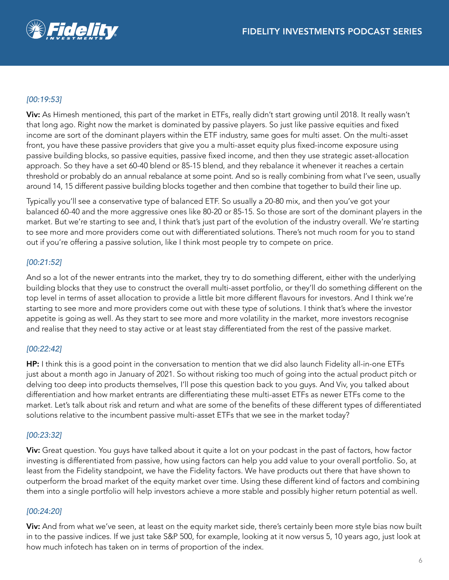

## *[00:19:53]*

Viv: As Himesh mentioned, this part of the market in ETFs, really didn't start growing until 2018. It really wasn't that long ago. Right now the market is dominated by passive players. So just like passive equities and fixed income are sort of the dominant players within the ETF industry, same goes for multi asset. On the multi-asset front, you have these passive providers that give you a multi-asset equity plus fixed-income exposure using passive building blocks, so passive equities, passive fixed income, and then they use strategic asset-allocation approach. So they have a set 60-40 blend or 85-15 blend, and they rebalance it whenever it reaches a certain threshold or probably do an annual rebalance at some point. And so is really combining from what I've seen, usually around 14, 15 different passive building blocks together and then combine that together to build their line up.

Typically you'll see a conservative type of balanced ETF. So usually a 20-80 mix, and then you've got your balanced 60-40 and the more aggressive ones like 80-20 or 85-15. So those are sort of the dominant players in the market. But we're starting to see and, I think that's just part of the evolution of the industry overall. We're starting to see more and more providers come out with differentiated solutions. There's not much room for you to stand out if you're offering a passive solution, like I think most people try to compete on price.

#### *[00:21:52]*

And so a lot of the newer entrants into the market, they try to do something different, either with the underlying building blocks that they use to construct the overall multi-asset portfolio, or they'll do something different on the top level in terms of asset allocation to provide a little bit more different flavours for investors. And I think we're starting to see more and more providers come out with these type of solutions. I think that's where the investor appetite is going as well. As they start to see more and more volatility in the market, more investors recognise and realise that they need to stay active or at least stay differentiated from the rest of the passive market.

## *[00:22:42]*

HP: I think this is a good point in the conversation to mention that we did also launch Fidelity all-in-one ETFs just about a month ago in January of 2021. So without risking too much of going into the actual product pitch or delving too deep into products themselves, I'll pose this question back to you guys. And Viv, you talked about differentiation and how market entrants are differentiating these multi-asset ETFs as newer ETFs come to the market. Let's talk about risk and return and what are some of the benefits of these different types of differentiated solutions relative to the incumbent passive multi-asset ETFs that we see in the market today?

## *[00:23:32]*

Viv: Great question. You guys have talked about it quite a lot on your podcast in the past of factors, how factor investing is differentiated from passive, how using factors can help you add value to your overall portfolio. So, at least from the Fidelity standpoint, we have the Fidelity factors. We have products out there that have shown to outperform the broad market of the equity market over time. Using these different kind of factors and combining them into a single portfolio will help investors achieve a more stable and possibly higher return potential as well.

## *[00:24:20]*

Viv: And from what we've seen, at least on the equity market side, there's certainly been more style bias now built in to the passive indices. If we just take S&P 500, for example, looking at it now versus 5, 10 years ago, just look at how much infotech has taken on in terms of proportion of the index.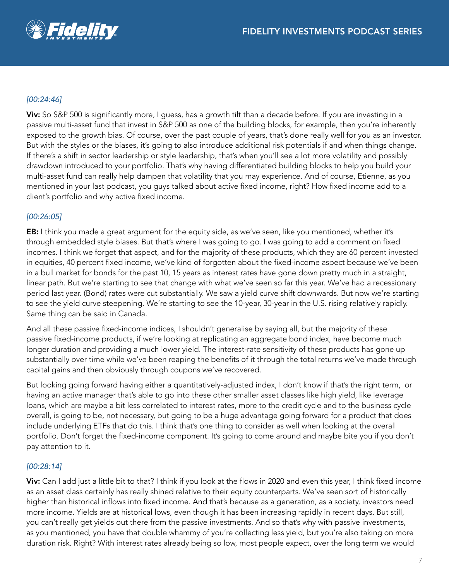

## *[00:24:46]*

Viv: So S&P 500 is significantly more, I guess, has a growth tilt than a decade before. If you are investing in a passive multi-asset fund that invest in S&P 500 as one of the building blocks, for example, then you're inherently exposed to the growth bias. Of course, over the past couple of years, that's done really well for you as an investor. But with the styles or the biases, it's going to also introduce additional risk potentials if and when things change. If there's a shift in sector leadership or style leadership, that's when you'll see a lot more volatility and possibly drawdown introduced to your portfolio. That's why having differentiated building blocks to help you build your multi-asset fund can really help dampen that volatility that you may experience. And of course, Etienne, as you mentioned in your last podcast, you guys talked about active fixed income, right? How fixed income add to a client's portfolio and why active fixed income.

#### *[00:26:05]*

EB: I think you made a great argument for the equity side, as we've seen, like you mentioned, whether it's through embedded style biases. But that's where I was going to go. I was going to add a comment on fixed incomes. I think we forget that aspect, and for the majority of these products, which they are 60 percent invested in equities, 40 percent fixed income, we've kind of forgotten about the fixed-income aspect because we've been in a bull market for bonds for the past 10, 15 years as interest rates have gone down pretty much in a straight, linear path. But we're starting to see that change with what we've seen so far this year. We've had a recessionary period last year. (Bond) rates were cut substantially. We saw a yield curve shift downwards. But now we're starting to see the yield curve steepening. We're starting to see the 10-year, 30-year in the U.S. rising relatively rapidly. Same thing can be said in Canada.

And all these passive fixed-income indices, I shouldn't generalise by saying all, but the majority of these passive fixed-income products, if we're looking at replicating an aggregate bond index, have become much longer duration and providing a much lower yield. The interest-rate sensitivity of these products has gone up substantially over time while we've been reaping the benefits of it through the total returns we've made through capital gains and then obviously through coupons we've recovered.

But looking going forward having either a quantitatively-adjusted index, I don't know if that's the right term, or having an active manager that's able to go into these other smaller asset classes like high yield, like leverage loans, which are maybe a bit less correlated to interest rates, more to the credit cycle and to the business cycle overall, is going to be, not necessary, but going to be a huge advantage going forward for a product that does include underlying ETFs that do this. I think that's one thing to consider as well when looking at the overall portfolio. Don't forget the fixed-income component. It's going to come around and maybe bite you if you don't pay attention to it.

#### *[00:28:14]*

Viv: Can I add just a little bit to that? I think if you look at the flows in 2020 and even this year, I think fixed income as an asset class certainly has really shined relative to their equity counterparts. We've seen sort of historically higher than historical inflows into fixed income. And that's because as a generation, as a society, investors need more income. Yields are at historical lows, even though it has been increasing rapidly in recent days. But still, you can't really get yields out there from the passive investments. And so that's why with passive investments, as you mentioned, you have that double whammy of you're collecting less yield, but you're also taking on more duration risk. Right? With interest rates already being so low, most people expect, over the long term we would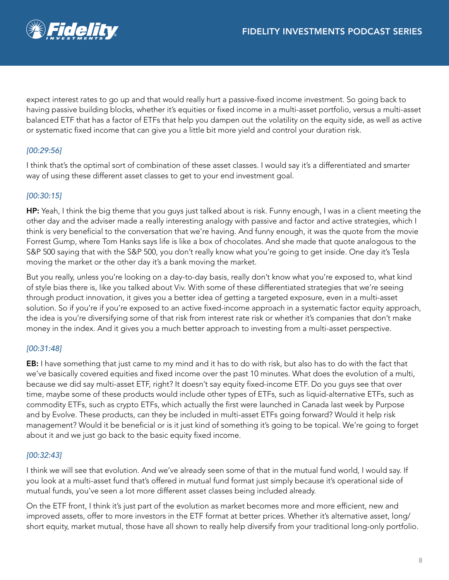

expect interest rates to go up and that would really hurt a passive-fixed income investment. So going back to having passive building blocks, whether it's equities or fixed income in a multi-asset portfolio, versus a multi-asset balanced ETF that has a factor of ETFs that help you dampen out the volatility on the equity side, as well as active or systematic fixed income that can give you a little bit more yield and control your duration risk.

## *[00:29:56]*

I think that's the optimal sort of combination of these asset classes. I would say it's a differentiated and smarter way of using these different asset classes to get to your end investment goal.

## *[00:30:15]*

HP: Yeah, I think the big theme that you guys just talked about is risk. Funny enough, I was in a client meeting the other day and the adviser made a really interesting analogy with passive and factor and active strategies, which I think is very beneficial to the conversation that we're having. And funny enough, it was the quote from the movie Forrest Gump, where Tom Hanks says life is like a box of chocolates. And she made that quote analogous to the S&P 500 saying that with the S&P 500, you don't really know what you're going to get inside. One day it's Tesla moving the market or the other day it's a bank moving the market.

But you really, unless you're looking on a day-to-day basis, really don't know what you're exposed to, what kind of style bias there is, like you talked about Viv. With some of these differentiated strategies that we're seeing through product innovation, it gives you a better idea of getting a targeted exposure, even in a multi-asset solution. So if you're if you're exposed to an active fixed-income approach in a systematic factor equity approach, the idea is you're diversifying some of that risk from interest rate risk or whether it's companies that don't make money in the index. And it gives you a much better approach to investing from a multi-asset perspective.

## *[00:31:48]*

EB: I have something that just came to my mind and it has to do with risk, but also has to do with the fact that we've basically covered equities and fixed income over the past 10 minutes. What does the evolution of a multi, because we did say multi-asset ETF, right? It doesn't say equity fixed-income ETF. Do you guys see that over time, maybe some of these products would include other types of ETFs, such as liquid-alternative ETFs, such as commodity ETFs, such as crypto ETFs, which actually the first were launched in Canada last week by Purpose and by Evolve. These products, can they be included in multi-asset ETFs going forward? Would it help risk management? Would it be beneficial or is it just kind of something it's going to be topical. We're going to forget about it and we just go back to the basic equity fixed income.

#### *[00:32:43]*

I think we will see that evolution. And we've already seen some of that in the mutual fund world, I would say. If you look at a multi-asset fund that's offered in mutual fund format just simply because it's operational side of mutual funds, you've seen a lot more different asset classes being included already.

On the ETF front, I think it's just part of the evolution as market becomes more and more efficient, new and improved assets, offer to more investors in the ETF format at better prices. Whether it's alternative asset, long/ short equity, market mutual, those have all shown to really help diversify from your traditional long-only portfolio.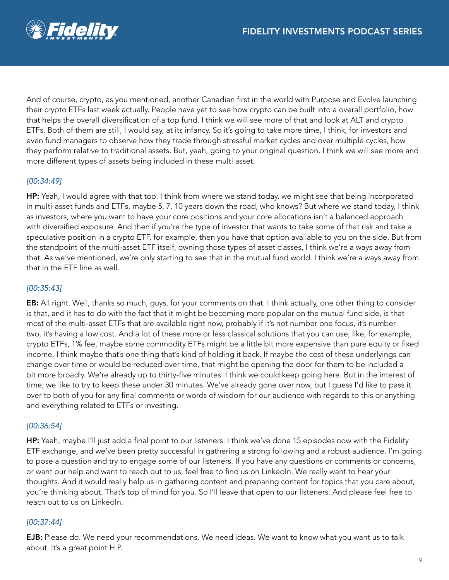

And of course, crypto, as you mentioned, another Canadian first in the world with Purpose and Evolve launching their crypto ETFs last week actually. People have yet to see how crypto can be built into a overall portfolio, how that helps the overall diversification of a top fund. I think we will see more of that and look at ALT and crypto ETFs. Both of them are still, I would say, at its infancy. So it's going to take more time, I think, for investors and even fund managers to observe how they trade through stressful market cycles and over multiple cycles, how they perform relative to traditional assets. But, yeah, going to your original question, I think we will see more and more different types of assets being included in these multi asset.

## *[00:34:49]*

HP: Yeah, I would agree with that too. I think from where we stand today, we might see that being incorporated in multi-asset funds and ETFs, maybe 5, 7, 10 years down the road, who knows? But where we stand today, I think as investors, where you want to have your core positions and your core allocations isn't a balanced approach with diversified exposure. And then if you're the type of investor that wants to take some of that risk and take a speculative position in a crypto ETF, for example, then you have that option available to you on the side. But from the standpoint of the multi-asset ETF itself, owning those types of asset classes, I think we're a ways away from that. As we've mentioned, we're only starting to see that in the mutual fund world. I think we're a ways away from that in the ETF line as well.

#### *[00:35:43]*

EB: All right. Well, thanks so much, guys, for your comments on that. I think actually, one other thing to consider is that, and it has to do with the fact that it might be becoming more popular on the mutual fund side, is that most of the multi-asset ETFs that are available right now, probably if it's not number one focus, it's number two, it's having a low cost. And a lot of these more or less classical solutions that you can use, like, for example, crypto ETFs, 1% fee, maybe some commodity ETFs might be a little bit more expensive than pure equity or fixed income. I think maybe that's one thing that's kind of holding it back. If maybe the cost of these underlyings can change over time or would be reduced over time, that might be opening the door for them to be included a bit more broadly. We're already up to thirty-five minutes. I think we could keep going here. But in the interest of time, we like to try to keep these under 30 minutes. We've already gone over now, but I guess I'd like to pass it over to both of you for any final comments or words of wisdom for our audience with regards to this or anything and everything related to ETFs or investing.

#### *[00:36:54]*

HP: Yeah, maybe I'll just add a final point to our listeners. I think we've done 15 episodes now with the Fidelity ETF exchange, and we've been pretty successful in gathering a strong following and a robust audience. I'm going to pose a question and try to engage some of our listeners. If you have any questions or comments or concerns, or want our help and want to reach out to us, feel free to find us on LinkedIn. We really want to hear your thoughts. And it would really help us in gathering content and preparing content for topics that you care about, you're thinking about. That's top of mind for you. So I'll leave that open to our listeners. And please feel free to reach out to us on LinkedIn.

#### *[00:37:44]*

**EJB:** Please do. We need your recommendations. We need ideas. We want to know what you want us to talk about. It's a great point H.P.